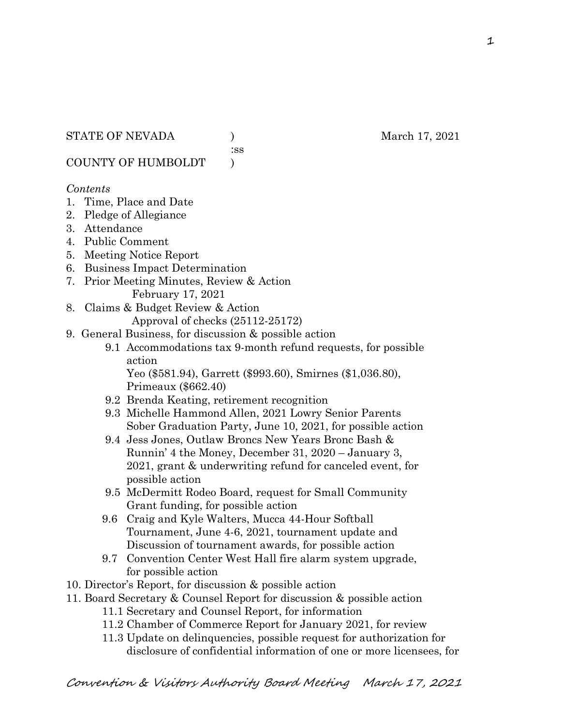:ss

COUNTY OF HUMBOLDT )

## *Contents*

- 1. Time, Place and Date
- 2. Pledge of Allegiance
- 3. Attendance
- 4. Public Comment
- 5. Meeting Notice Report
- 6. Business Impact Determination
- 7. Prior Meeting Minutes, Review & Action February 17, 2021
- 8. Claims & Budget Review & Action

Approval of checks (25112-25172)

- 9. General Business, for discussion & possible action
	- 9.1 Accommodations tax 9-month refund requests, for possible action

 Yeo (\$581.94), Garrett (\$993.60), Smirnes (\$1,036.80), Primeaux (\$662.40)

- 9.2 Brenda Keating, retirement recognition
- 9.3 Michelle Hammond Allen, 2021 Lowry Senior Parents Sober Graduation Party, June 10, 2021, for possible action
- 9.4 Jess Jones, Outlaw Broncs New Years Bronc Bash & Runnin' 4 the Money, December 31, 2020 – January 3, 2021, grant & underwriting refund for canceled event, for possible action
- 9.5 McDermitt Rodeo Board, request for Small Community Grant funding, for possible action
- 9.6 Craig and Kyle Walters, Mucca 44-Hour Softball Tournament, June 4-6, 2021, tournament update and Discussion of tournament awards, for possible action
- 9.7 Convention Center West Hall fire alarm system upgrade, for possible action
- 10. Director's Report, for discussion & possible action
- 11. Board Secretary & Counsel Report for discussion & possible action
	- 11.1 Secretary and Counsel Report, for information
	- 11.2 Chamber of Commerce Report for January 2021, for review
	- 11.3 Update on delinquencies, possible request for authorization for disclosure of confidential information of one or more licensees, for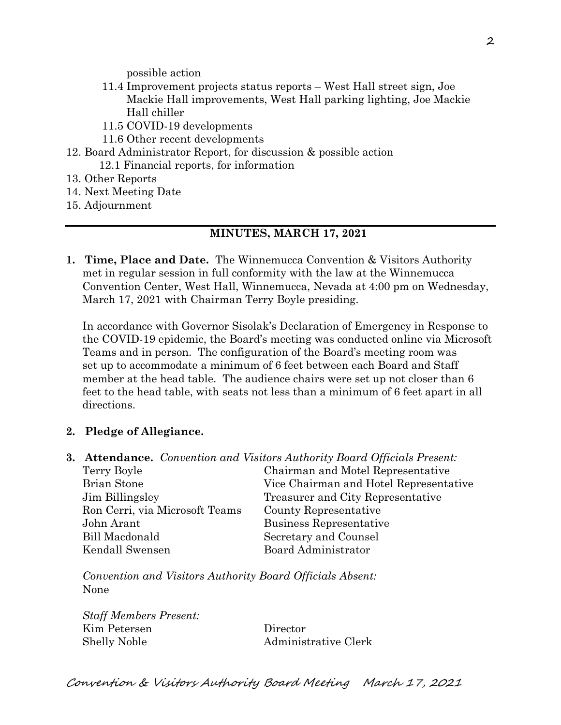possible action

- 11.4 Improvement projects status reports West Hall street sign, Joe Mackie Hall improvements, West Hall parking lighting, Joe Mackie Hall chiller
- 11.5 COVID-19 developments
- 11.6 Other recent developments
- 12. Board Administrator Report, for discussion & possible action 12.1 Financial reports, for information
- 13. Other Reports
- 14. Next Meeting Date
- 15. Adjournment

#### **MINUTES, MARCH 17, 2021**

**1. Time, Place and Date.** The Winnemucca Convention & Visitors Authority met in regular session in full conformity with the law at the Winnemucca Convention Center, West Hall, Winnemucca, Nevada at 4:00 pm on Wednesday, March 17, 2021 with Chairman Terry Boyle presiding.

In accordance with Governor Sisolak's Declaration of Emergency in Response to the COVID-19 epidemic, the Board's meeting was conducted online via Microsoft Teams and in person. The configuration of the Board's meeting room was set up to accommodate a minimum of 6 feet between each Board and Staff member at the head table. The audience chairs were set up not closer than 6 feet to the head table, with seats not less than a minimum of 6 feet apart in all directions.

### **2. Pledge of Allegiance.**

**3. Attendance.** *Convention and Visitors Authority Board Officials Present:*

| Terry Boyle                    | Chairman and Motel Representative      |
|--------------------------------|----------------------------------------|
| <b>Brian Stone</b>             | Vice Chairman and Hotel Representative |
| Jim Billingsley                | Treasurer and City Representative      |
| Ron Cerri, via Microsoft Teams | County Representative                  |
| John Arant                     | Business Representative                |
| <b>Bill Macdonald</b>          | Secretary and Counsel                  |
| Kendall Swensen                | Board Administrator                    |

*Convention and Visitors Authority Board Officials Absent:* None

*Staff Members Present:* Kim Petersen Director Shelly Noble Administrative Clerk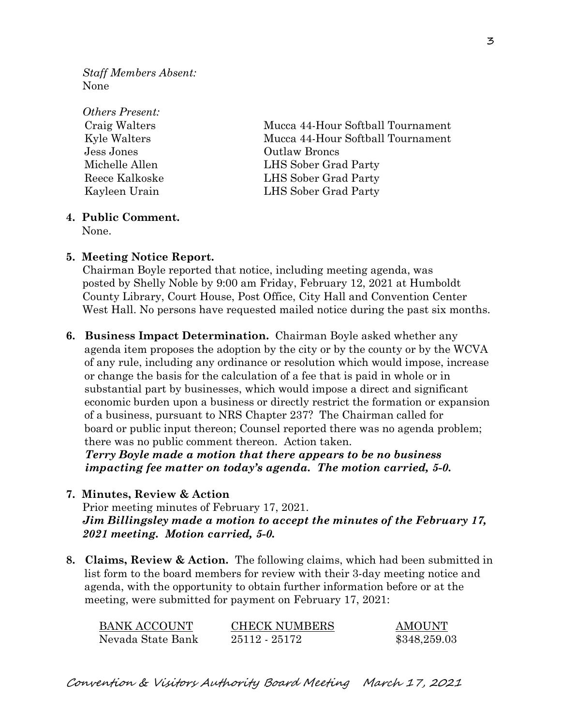*Staff Members Absent:* None

| <b>Others Present:</b> |                                   |  |
|------------------------|-----------------------------------|--|
| Craig Walters          | Mucca 44-Hour Softball Tournament |  |
| Kyle Walters           | Mucca 44-Hour Softball Tournament |  |
| Jess Jones             | <b>Outlaw Broncs</b>              |  |
| Michelle Allen         | LHS Sober Grad Party              |  |
| Reece Kalkoske         | LHS Sober Grad Party              |  |
| Kayleen Urain          | LHS Sober Grad Party              |  |
|                        |                                   |  |

## **4. Public Comment.**

None.

#### **5. Meeting Notice Report.**

Chairman Boyle reported that notice, including meeting agenda, was posted by Shelly Noble by 9:00 am Friday, February 12, 2021 at Humboldt County Library, Court House, Post Office, City Hall and Convention Center West Hall. No persons have requested mailed notice during the past six months.

**6. Business Impact Determination.** Chairman Boyle asked whether any agenda item proposes the adoption by the city or by the county or by the WCVA of any rule, including any ordinance or resolution which would impose, increase or change the basis for the calculation of a fee that is paid in whole or in substantial part by businesses, which would impose a direct and significant economic burden upon a business or directly restrict the formation or expansion of a business, pursuant to NRS Chapter 237? The Chairman called for board or public input thereon; Counsel reported there was no agenda problem; there was no public comment thereon. Action taken.

 *Terry Boyle made a motion that there appears to be no business impacting fee matter on today's agenda. The motion carried, 5-0.*

**7. Minutes, Review & Action** 

Prior meeting minutes of February 17, 2021. *Jim Billingsley made a motion to accept the minutes of the February 17, 2021 meeting. Motion carried, 5-0.*

**8. Claims, Review & Action.** The following claims, which had been submitted in list form to the board members for review with their 3-day meeting notice and agenda, with the opportunity to obtain further information before or at the meeting, were submitted for payment on February 17, 2021:

| <b>BANK ACCOUNT</b> | <b>CHECK NUMBERS</b> | <b>AMOUNT</b> |
|---------------------|----------------------|---------------|
| Nevada State Bank   | 25112 - 25172        | \$348,259.03  |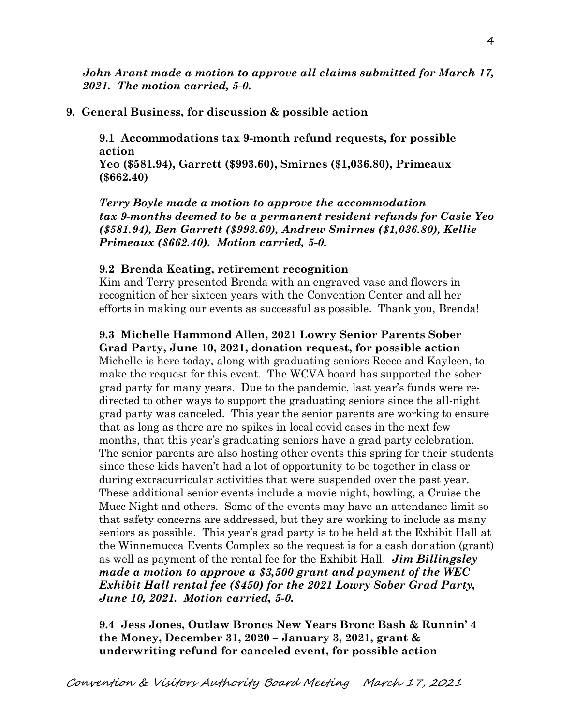*John Arant made a motion to approve all claims submitted for March 17, 2021. The motion carried, 5-0.*

## **9. General Business, for discussion & possible action**

**9.1 Accommodations tax 9-month refund requests, for possible action**

**Yeo (\$581.94), Garrett (\$993.60), Smirnes (\$1,036.80), Primeaux (\$662.40)**

*Terry Boyle made a motion to approve the accommodation tax 9-months deemed to be a permanent resident refunds for Casie Yeo (\$581.94), Ben Garrett (\$993.60), Andrew Smirnes (\$1,036.80), Kellie Primeaux (\$662.40). Motion carried, 5-0.* 

## **9.2 Brenda Keating, retirement recognition**

Kim and Terry presented Brenda with an engraved vase and flowers in recognition of her sixteen years with the Convention Center and all her efforts in making our events as successful as possible. Thank you, Brenda!

## **9.3 Michelle Hammond Allen, 2021 Lowry Senior Parents Sober Grad Party, June 10, 2021, donation request, for possible action**

Michelle is here today, along with graduating seniors Reece and Kayleen, to make the request for this event. The WCVA board has supported the sober grad party for many years. Due to the pandemic, last year's funds were redirected to other ways to support the graduating seniors since the all-night grad party was canceled. This year the senior parents are working to ensure that as long as there are no spikes in local covid cases in the next few months, that this year's graduating seniors have a grad party celebration. The senior parents are also hosting other events this spring for their students since these kids haven't had a lot of opportunity to be together in class or during extracurricular activities that were suspended over the past year. These additional senior events include a movie night, bowling, a Cruise the Mucc Night and others. Some of the events may have an attendance limit so that safety concerns are addressed, but they are working to include as many seniors as possible. This year's grad party is to be held at the Exhibit Hall at the Winnemucca Events Complex so the request is for a cash donation (grant) as well as payment of the rental fee for the Exhibit Hall. *Jim Billingsley made a motion to approve a \$3,500 grant and payment of the WEC Exhibit Hall rental fee (\$450) for the 2021 Lowry Sober Grad Party, June 10, 2021. Motion carried, 5-0.* 

**9.4 Jess Jones, Outlaw Broncs New Years Bronc Bash & Runnin' 4 the Money, December 31, 2020 – January 3, 2021, grant & underwriting refund for canceled event, for possible action**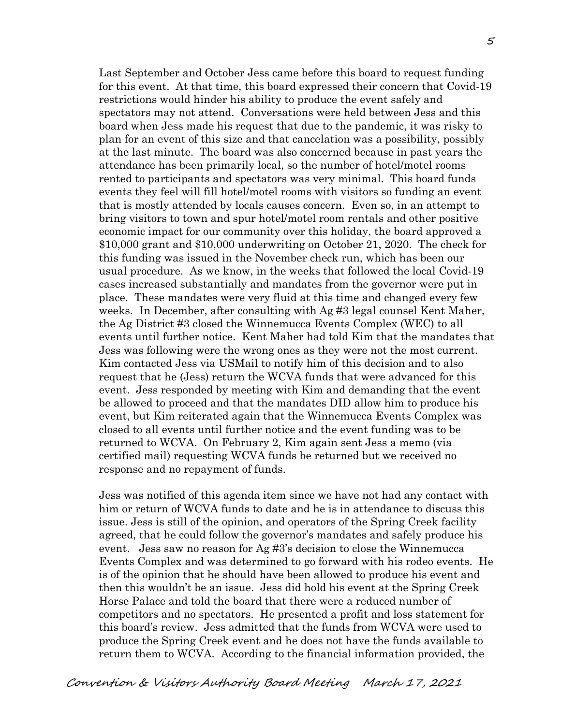Last September and October Jess came before this board to request funding for this event. At that time, this board expressed their concern that Covid-19 restrictions would hinder his ability to produce the event safely and spectators may not attend. Conversations were held between Jess and this board when Jess made his request that due to the pandemic, it was risky to plan for an event of this size and that cancelation was a possibility, possibly at the last minute. The board was also concerned because in past years the attendance has been primarily local, so the number of hotel/motel rooms rented to participants and spectators was very minimal. This board funds events they feel will fill hotel/motel rooms with visitors so funding an event that is mostly attended by locals causes concern. Even so, in an attempt to bring visitors to town and spur hotel/motel room rentals and other positive economic impact for our community over this holiday, the board approved a \$10,000 grant and \$10,000 underwriting on October 21, 2020. The check for this funding was issued in the November check run, which has been our usual procedure. As we know, in the weeks that followed the local Covid-19 cases increased substantially and mandates from the governor were put in place. These mandates were very fluid at this time and changed every few weeks. In December, after consulting with Ag #3 legal counsel Kent Maher, the Ag District #3 closed the Winnemucca Events Complex (WEC) to all events until further notice. Kent Maher had told Kim that the mandates that Jess was following were the wrong ones as they were not the most current. Kim contacted Jess via USMail to notify him of this decision and to also request that he (Jess) return the WCVA funds that were advanced for this event. Jess responded by meeting with Kim and demanding that the event be allowed to proceed and that the mandates DID allow him to produce his event, but Kim reiterated again that the Winnemucca Events Complex was closed to all events until further notice and the event funding was to be returned to WCVA. On February 2, Kim again sent Jess a memo (via certified mail) requesting WCVA funds be returned but we received no response and no repayment of funds.

Jess was notified of this agenda item since we have not had any contact with him or return of WCVA funds to date and he is in attendance to discuss this issue. Jess is still of the opinion, and operators of the Spring Creek facility agreed, that he could follow the governor's mandates and safely produce his event. Jess saw no reason for Ag #3's decision to close the Winnemucca Events Complex and was determined to go forward with his rodeo events. He is of the opinion that he should have been allowed to produce his event and then this wouldn't be an issue. Jess did hold his event at the Spring Creek Horse Palace and told the board that there were a reduced number of competitors and no spectators. He presented a profit and loss statement for this board's review. Jess admitted that the funds from WCVA were used to produce the Spring Creek event and he does not have the funds available to return them to WCVA. According to the financial information provided, the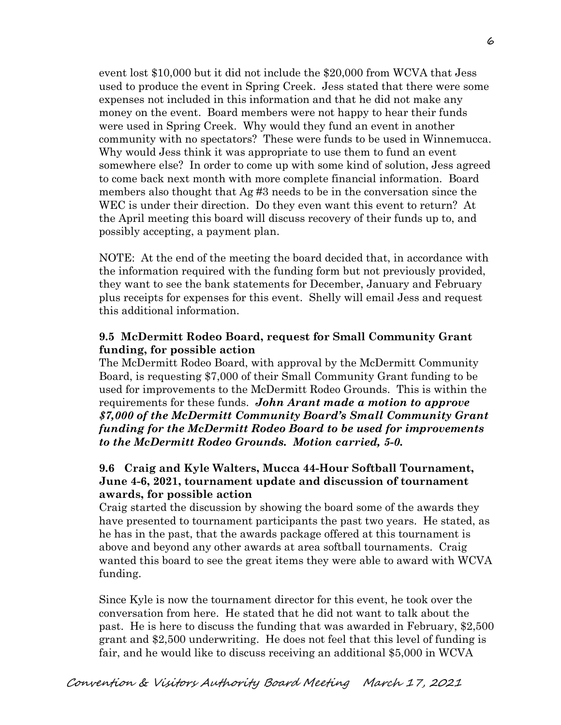event lost \$10,000 but it did not include the \$20,000 from WCVA that Jess used to produce the event in Spring Creek. Jess stated that there were some expenses not included in this information and that he did not make any money on the event. Board members were not happy to hear their funds were used in Spring Creek. Why would they fund an event in another community with no spectators? These were funds to be used in Winnemucca. Why would Jess think it was appropriate to use them to fund an event somewhere else? In order to come up with some kind of solution, Jess agreed to come back next month with more complete financial information. Board members also thought that Ag #3 needs to be in the conversation since the WEC is under their direction. Do they even want this event to return? At the April meeting this board will discuss recovery of their funds up to, and possibly accepting, a payment plan.

NOTE: At the end of the meeting the board decided that, in accordance with the information required with the funding form but not previously provided, they want to see the bank statements for December, January and February plus receipts for expenses for this event. Shelly will email Jess and request this additional information.

## **9.5 McDermitt Rodeo Board, request for Small Community Grant funding, for possible action**

The McDermitt Rodeo Board, with approval by the McDermitt Community Board, is requesting \$7,000 of their Small Community Grant funding to be used for improvements to the McDermitt Rodeo Grounds. This is within the requirements for these funds. *John Arant made a motion to approve \$7,000 of the McDermitt Community Board's Small Community Grant funding for the McDermitt Rodeo Board to be used for improvements to the McDermitt Rodeo Grounds. Motion carried, 5-0.* 

## **9.6 Craig and Kyle Walters, Mucca 44-Hour Softball Tournament, June 4-6, 2021, tournament update and discussion of tournament awards, for possible action**

Craig started the discussion by showing the board some of the awards they have presented to tournament participants the past two years. He stated, as he has in the past, that the awards package offered at this tournament is above and beyond any other awards at area softball tournaments. Craig wanted this board to see the great items they were able to award with WCVA funding.

Since Kyle is now the tournament director for this event, he took over the conversation from here. He stated that he did not want to talk about the past. He is here to discuss the funding that was awarded in February, \$2,500 grant and \$2,500 underwriting. He does not feel that this level of funding is fair, and he would like to discuss receiving an additional \$5,000 in WCVA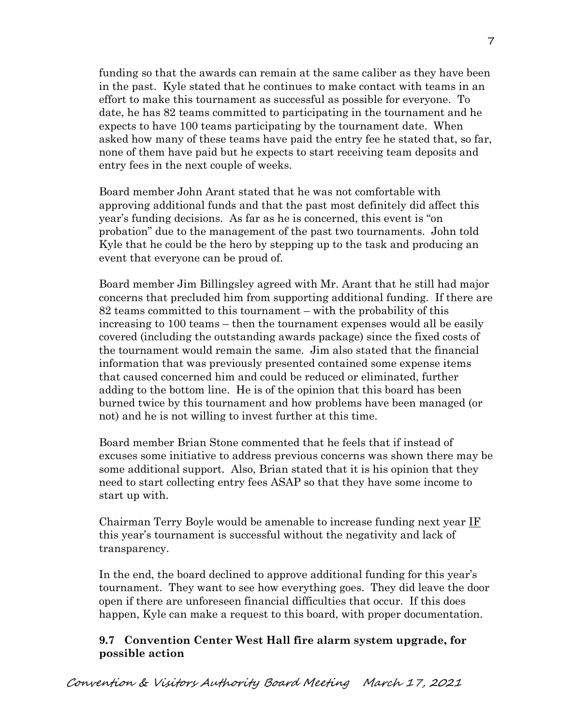funding so that the awards can remain at the same caliber as they have been in the past. Kyle stated that he continues to make contact with teams in an effort to make this tournament as successful as possible for everyone. To date, he has 82 teams committed to participating in the tournament and he expects to have 100 teams participating by the tournament date. When asked how many of these teams have paid the entry fee he stated that, so far, none of them have paid but he expects to start receiving team deposits and entry fees in the next couple of weeks.

Board member John Arant stated that he was not comfortable with approving additional funds and that the past most definitely did affect this year's funding decisions. As far as he is concerned, this event is "on probation" due to the management of the past two tournaments. John told Kyle that he could be the hero by stepping up to the task and producing an event that everyone can be proud of.

Board member Jim Billingsley agreed with Mr. Arant that he still had major concerns that precluded him from supporting additional funding. If there are 82 teams committed to this tournament – with the probability of this increasing to 100 teams – then the tournament expenses would all be easily covered (including the outstanding awards package) since the fixed costs of the tournament would remain the same. Jim also stated that the financial information that was previously presented contained some expense items that caused concerned him and could be reduced or eliminated, further adding to the bottom line. He is of the opinion that this board has been burned twice by this tournament and how problems have been managed (or not) and he is not willing to invest further at this time.

Board member Brian Stone commented that he feels that if instead of excuses some initiative to address previous concerns was shown there may be some additional support. Also, Brian stated that it is his opinion that they need to start collecting entry fees ASAP so that they have some income to start up with.

Chairman Terry Boyle would be amenable to increase funding next year IF this year's tournament is successful without the negativity and lack of transparency.

In the end, the board declined to approve additional funding for this year's tournament. They want to see how everything goes. They did leave the door open if there are unforeseen financial difficulties that occur. If this does happen, Kyle can make a request to this board, with proper documentation.

## **9.7 Convention Center West Hall fire alarm system upgrade, for possible action**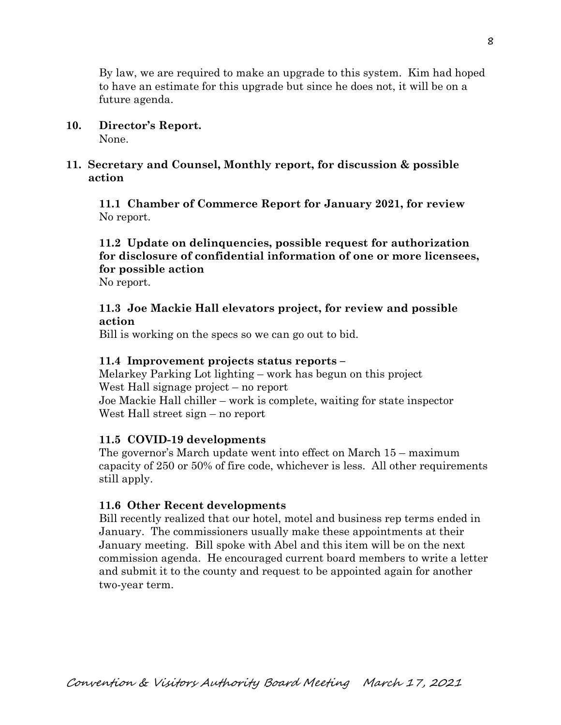By law, we are required to make an upgrade to this system. Kim had hoped to have an estimate for this upgrade but since he does not, it will be on a future agenda.

**10. Director's Report.**

None.

# **11. Secretary and Counsel, Monthly report, for discussion & possible action**

 **11.1 Chamber of Commerce Report for January 2021, for review** No report.

# **11.2 Update on delinquencies, possible request for authorization for disclosure of confidential information of one or more licensees, for possible action**

No report.

## **11.3 Joe Mackie Hall elevators project, for review and possible action**

Bill is working on the specs so we can go out to bid.

## **11.4 Improvement projects status reports –**

Melarkey Parking Lot lighting – work has begun on this project West Hall signage project – no report Joe Mackie Hall chiller – work is complete, waiting for state inspector West Hall street sign – no report

# **11.5 COVID-19 developments**

The governor's March update went into effect on March 15 – maximum capacity of 250 or 50% of fire code, whichever is less. All other requirements still apply.

# **11.6 Other Recent developments**

Bill recently realized that our hotel, motel and business rep terms ended in January. The commissioners usually make these appointments at their January meeting. Bill spoke with Abel and this item will be on the next commission agenda. He encouraged current board members to write a letter and submit it to the county and request to be appointed again for another two-year term.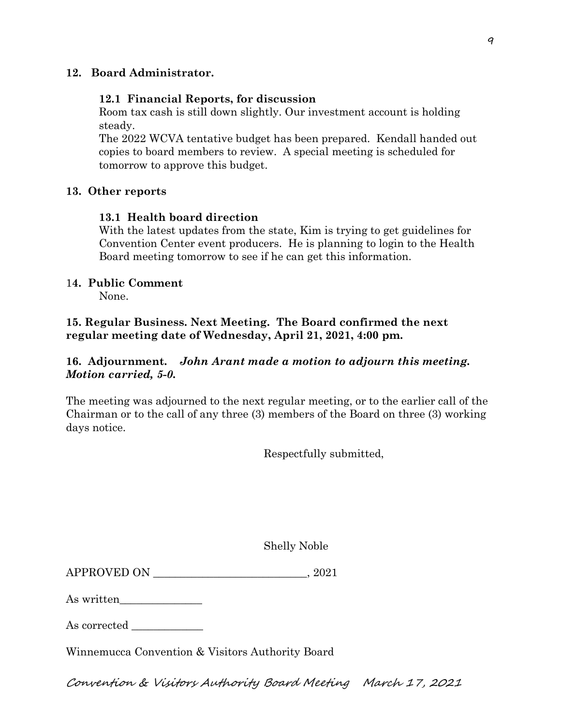## **12. Board Administrator.**

### **12.1 Financial Reports, for discussion**

Room tax cash is still down slightly. Our investment account is holding steady.

The 2022 WCVA tentative budget has been prepared. Kendall handed out copies to board members to review. A special meeting is scheduled for tomorrow to approve this budget.

### **13. Other reports**

### **13.1 Health board direction**

With the latest updates from the state, Kim is trying to get guidelines for Convention Center event producers. He is planning to login to the Health Board meeting tomorrow to see if he can get this information.

### 1**4. Public Comment**

None.

**15. Regular Business. Next Meeting. The Board confirmed the next regular meeting date of Wednesday, April 21, 2021, 4:00 pm.** 

## **16. Adjournment.** *John Arant made a motion to adjourn this meeting. Motion carried, 5-0.*

The meeting was adjourned to the next regular meeting, or to the earlier call of the Chairman or to the call of any three (3) members of the Board on three (3) working days notice.

Respectfully submitted,

Shelly Noble

APPROVED ON \_\_\_\_\_\_\_\_\_\_\_\_\_\_\_\_\_\_\_\_\_\_\_\_\_\_\_\_, 2021

As written\_\_\_\_\_\_\_\_\_\_\_\_\_\_\_

As corrected

Winnemucca Convention & Visitors Authority Board

Convention & Visitors Authority Board Meeting March 17, 2021